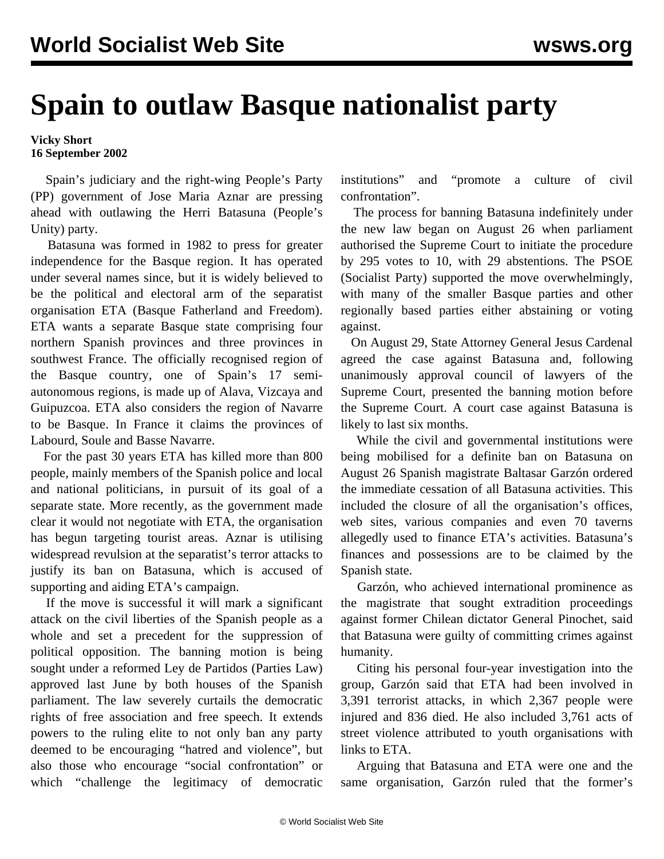## **Spain to outlaw Basque nationalist party**

## **Vicky Short 16 September 2002**

 Spain's judiciary and the right-wing People's Party (PP) government of Jose Maria Aznar are pressing ahead with outlawing the Herri Batasuna (People's Unity) party.

 Batasuna was formed in 1982 to press for greater independence for the Basque region. It has operated under several names since, but it is widely believed to be the political and electoral arm of the separatist organisation ETA (Basque Fatherland and Freedom). ETA wants a separate Basque state comprising four northern Spanish provinces and three provinces in southwest France. The officially recognised region of the Basque country, one of Spain's 17 semiautonomous regions, is made up of Alava, Vizcaya and Guipuzcoa. ETA also considers the region of Navarre to be Basque. In France it claims the provinces of Labourd, Soule and Basse Navarre.

 For the past 30 years ETA has killed more than 800 people, mainly members of the Spanish police and local and national politicians, in pursuit of its goal of a separate state. More recently, as the government made clear it would not negotiate with ETA, the organisation has begun targeting tourist areas. Aznar is utilising widespread revulsion at the separatist's terror attacks to justify its ban on Batasuna, which is accused of supporting and aiding ETA's campaign.

 If the move is successful it will mark a significant attack on the civil liberties of the Spanish people as a whole and set a precedent for the suppression of political opposition. The banning motion is being sought under a reformed Ley de Partidos (Parties Law) approved last June by both houses of the Spanish parliament. The law severely curtails the democratic rights of free association and free speech. It extends powers to the ruling elite to not only ban any party deemed to be encouraging "hatred and violence", but also those who encourage "social confrontation" or which "challenge the legitimacy of democratic

institutions" and "promote a culture of civil confrontation".

 The process for banning Batasuna indefinitely under the new law began on August 26 when parliament authorised the Supreme Court to initiate the procedure by 295 votes to 10, with 29 abstentions. The PSOE (Socialist Party) supported the move overwhelmingly, with many of the smaller Basque parties and other regionally based parties either abstaining or voting against.

 On August 29, State Attorney General Jesus Cardenal agreed the case against Batasuna and, following unanimously approval council of lawyers of the Supreme Court, presented the banning motion before the Supreme Court. A court case against Batasuna is likely to last six months.

 While the civil and governmental institutions were being mobilised for a definite ban on Batasuna on August 26 Spanish magistrate Baltasar Garzón ordered the immediate cessation of all Batasuna activities. This included the closure of all the organisation's offices, web sites, various companies and even 70 taverns allegedly used to finance ETA's activities. Batasuna's finances and possessions are to be claimed by the Spanish state.

 Garzón, who achieved international prominence as the magistrate that sought extradition proceedings against former Chilean dictator General Pinochet, said that Batasuna were guilty of committing crimes against humanity.

 Citing his personal four-year investigation into the group, Garzón said that ETA had been involved in 3,391 terrorist attacks, in which 2,367 people were injured and 836 died. He also included 3,761 acts of street violence attributed to youth organisations with links to ETA.

 Arguing that Batasuna and ETA were one and the same organisation, Garzón ruled that the former's